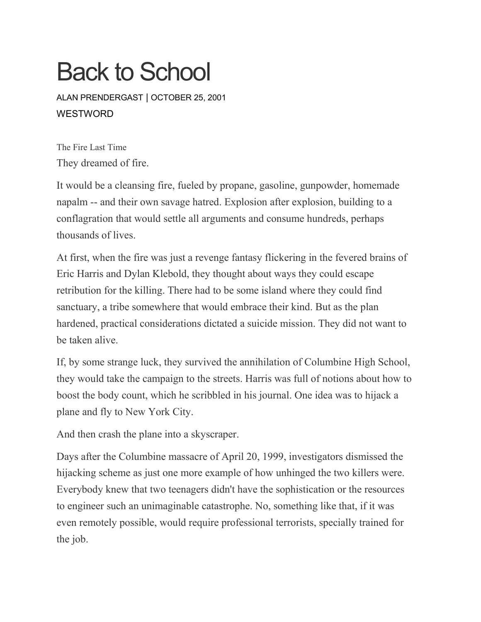# Back to School

ALAN [PRENDERGAST](https://www.westword.com/authors/alan-prendergast-5052731) | OCTOBER 25, 2001 **WESTWORD** 

The Fire Last Time They dreamed of fire.

It would be a cleansing fire, fueled by propane, gasoline, gunpowder, homemade napalm -- and their own savage hatred. Explosion after explosion, building to a conflagration that would settle all arguments and consume hundreds, perhaps thousands of lives.

At first, when the fire was just a revenge fantasy flickering in the fevered brains of Eric Harris and Dylan Klebold, they thought about ways they could escape retribution for the killing. There had to be some island where they could find sanctuary, a tribe somewhere that would embrace their kind. But as the plan hardened, practical considerations dictated a suicide mission. They did not want to be taken alive.

If, by some strange luck, they survived the annihilation of Columbine High School, they would take the campaign to the streets. Harris was full of notions about how to boost the body count, which he scribbled in his journal. One idea was to hijack a plane and fly to New York City.

And then crash the plane into a skyscraper.

Days after the Columbine massacre of April 20, 1999, investigators dismissed the hijacking scheme as just one more example of how unhinged the two killers were. Everybody knew that two teenagers didn't have the sophistication or the resources to engineer such an unimaginable catastrophe. No, something like that, if it was even remotely possible, would require professional terrorists, specially trained for the job.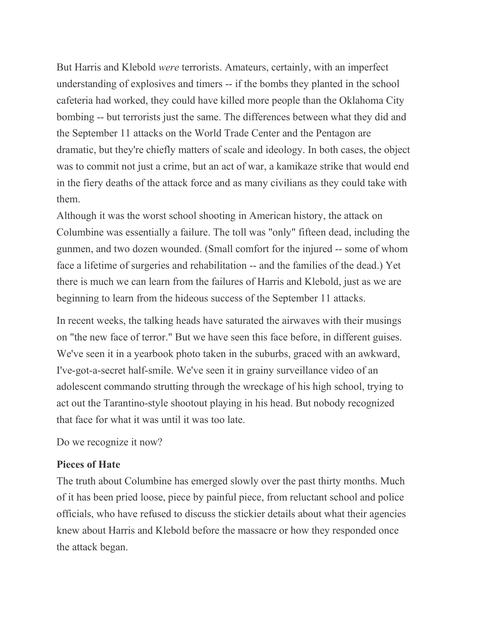But Harris and Klebold *were* terrorists. Amateurs, certainly, with an imperfect understanding of explosives and timers -- if the bombs they planted in the school cafeteria had worked, they could have killed more people than the Oklahoma City bombing -- but terrorists just the same. The differences between what they did and the September 11 attacks on the World Trade Center and the Pentagon are dramatic, but they're chiefly matters of scale and ideology. In both cases, the object was to commit not just a crime, but an act of war, a kamikaze strike that would end in the fiery deaths of the attack force and as many civilians as they could take with them.

Although it was the worst school shooting in American history, the attack on Columbine was essentially a failure. The toll was "only" fifteen dead, including the gunmen, and two dozen wounded. (Small comfort for the injured -- some of whom face a lifetime of surgeries and rehabilitation -- and the families of the dead.) Yet there is much we can learn from the failures of Harris and Klebold, just as we are beginning to learn from the hideous success of the September 11 attacks.

In recent weeks, the talking heads have saturated the airwaves with their musings on "the new face of terror." But we have seen this face before, in different guises. We've seen it in a yearbook photo taken in the suburbs, graced with an awkward, I've-got-a-secret half-smile. We've seen it in grainy surveillance video of an adolescent commando strutting through the wreckage of his high school, trying to act out the Tarantino-style shootout playing in his head. But nobody recognized that face for what it was until it was too late.

Do we recognize it now?

#### **Pieces of Hate**

The truth about Columbine has emerged slowly over the past thirty months. Much of it has been pried loose, piece by painful piece, from reluctant school and police officials, who have refused to discuss the stickier details about what their agencies knew about Harris and Klebold before the massacre or how they responded once the attack began.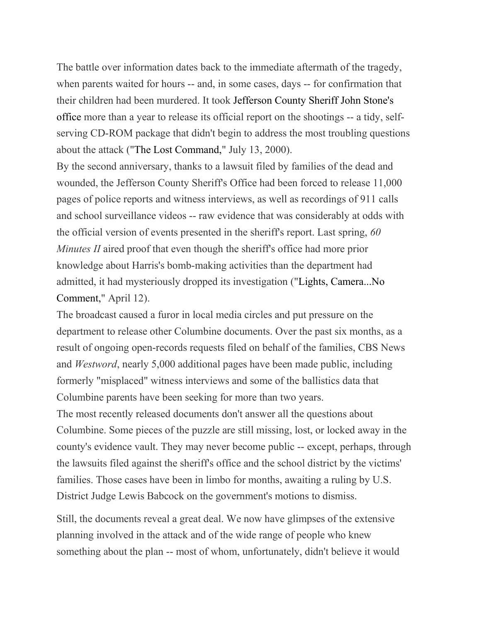The battle over information dates back to the immediate aftermath of the tragedy, when parents waited for hours -- and, in some cases, days -- for confirmation that their children had been murdered. It took [Jefferson](https://www.westword.com/issues/2001-10-25/sidebar.html) County Sheriff John Stone's [office](https://www.westword.com/issues/2001-10-25/sidebar.html) more than a year to release its official report on the shootings -- a tidy, selfserving CD-ROM package that didn't begin to address the most troubling questions about the attack ("The Lost [Command,](https://www.westword.com/issues/2000-07-13/feature.html/page1.html)" July 13, 2000).

By the second anniversary, thanks to a lawsuit filed by families of the dead and wounded, the Jefferson County Sheriff's Office had been forced to release 11,000 pages of police reports and witness interviews, as well as recordings of 911 calls and school surveillance videos -- raw evidence that was considerably at odds with the official version of events presented in the sheriff's report. Last spring, *60 Minutes II* aired proof that even though the sheriff's office had more prior knowledge about Harris's bomb-making activities than the department had admitted, it had mysteriously dropped its investigation ("Lights, [Camera...No](https://www.westword.com/issues/2001-04-12/feature2.html/page1.html) [Comment,](https://www.westword.com/issues/2001-04-12/feature2.html/page1.html)" April 12).

The broadcast caused a furor in local media circles and put pressure on the department to release other Columbine documents. Over the past six months, as a result of ongoing open-records requests filed on behalf of the families, CBS News and *Westword*, nearly 5,000 additional pages have been made public, including formerly "misplaced" witness interviews and some of the ballistics data that Columbine parents have been seeking for more than two years.

The most recently released documents don't answer all the questions about Columbine. Some pieces of the puzzle are still missing, lost, or locked away in the county's evidence vault. They may never become public -- except, perhaps, through the lawsuits filed against the sheriff's office and the school district by the victims' families. Those cases have been in limbo for months, awaiting a ruling by U.S. District Judge Lewis Babcock on the government's motions to dismiss.

Still, the documents reveal a great deal. We now have glimpses of the extensive planning involved in the attack and of the wide range of people who knew something about the plan -- most of whom, unfortunately, didn't believe it would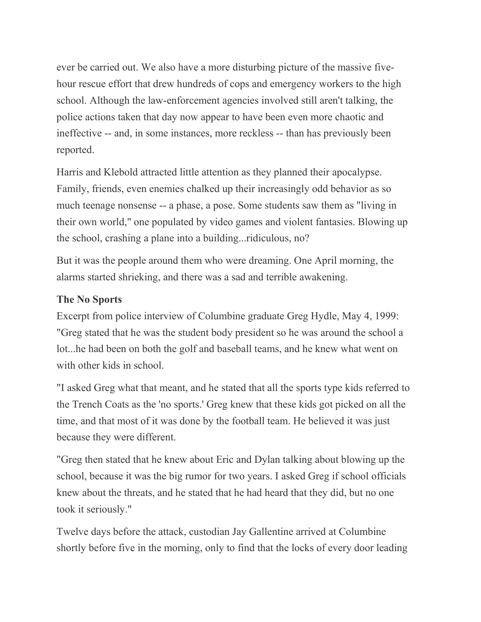ever be carried out. We also have a more disturbing picture of the massive fivehour rescue effort that drew hundreds of cops and emergency workers to the high school. Although the law-enforcement agencies involved still aren't talking, the police actions taken that day now appear to have been even more chaotic and ineffective -- and, in some instances, more reckless -- than has previously been reported.

Harris and Klebold attracted little attention as they planned their apocalypse. Family, friends, even enemies chalked up their increasingly odd behavior as so much teenage nonsense -- a phase, a pose. Some students saw them as "living in their own world," one populated by video games and violent fantasies. Blowing up the school, crashing a plane into a building...ridiculous, no?

But it was the people around them who were dreaming. One April morning, the alarms started shrieking, and there was a sad and terrible awakening.

#### **The No Sports**

Excerpt from police interview of Columbine graduate Greg Hydle, May 4, 1999: "Greg stated that he was the student body president so he was around the school a lot...he had been on both the golf and baseball teams, and he knew what went on with other kids in school.

"I asked Greg what that meant, and he stated that all the sports type kids referred to the Trench Coats as the 'no sports.' Greg knew that these kids got picked on all the time, and that most of it was done by the football team. He believed it was just because they were different.

"Greg then stated that he knew about Eric and Dylan talking about blowing up the school, because it was the big rumor for two years. I asked Greg if school officials knew about the threats, and he stated that he had heard that they did, but no one took it seriously."

Twelve days before the attack, custodian Jay Gallentine arrived at Columbine shortly before five in the morning, only to find that the locks of every door leading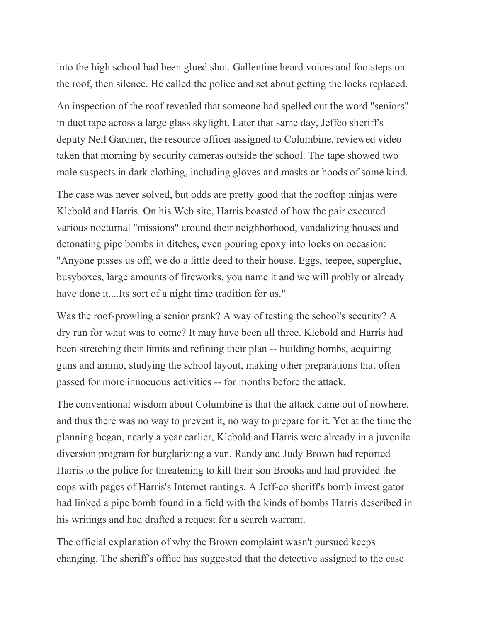into the high school had been glued shut. Gallentine heard voices and footsteps on the roof, then silence. He called the police and set about getting the locks replaced.

An inspection of the roof revealed that someone had spelled out the word "seniors" in duct tape across a large glass skylight. Later that same day, Jeffco sheriff's deputy Neil Gardner, the resource officer assigned to Columbine, reviewed video taken that morning by security cameras outside the school. The tape showed two male suspects in dark clothing, including gloves and masks or hoods of some kind.

The case was never solved, but odds are pretty good that the rooftop ninjas were Klebold and Harris. On his Web site, Harris boasted of how the pair executed various nocturnal "missions" around their neighborhood, vandalizing houses and detonating pipe bombs in ditches, even pouring epoxy into locks on occasion: "Anyone pisses us off, we do a little deed to their house. Eggs, teepee, superglue, busyboxes, large amounts of fireworks, you name it and we will probly or already have done it....Its sort of a night time tradition for us."

Was the roof-prowling a senior prank? A way of testing the school's security? A dry run for what was to come? It may have been all three. Klebold and Harris had been stretching their limits and refining their plan -- building bombs, acquiring guns and ammo, studying the school layout, making other preparations that often passed for more innocuous activities -- for months before the attack.

The conventional wisdom about Columbine is that the attack came out of nowhere, and thus there was no way to prevent it, no way to prepare for it. Yet at the time the planning began, nearly a year earlier, Klebold and Harris were already in a juvenile diversion program for burglarizing a van. Randy and Judy Brown had reported Harris to the police for threatening to kill their son Brooks and had provided the cops with pages of Harris's Internet rantings. A Jeff-co sheriff's bomb investigator had linked a pipe bomb found in a field with the kinds of bombs Harris described in his writings and had drafted a request for a search warrant.

The official explanation of why the Brown complaint wasn't pursued keeps changing. The sheriff's office has suggested that the detective assigned to the case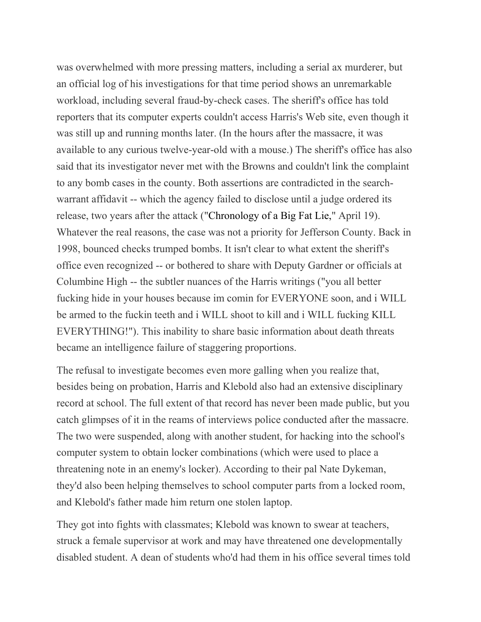was overwhelmed with more pressing matters, including a serial ax murderer, but an official log of his investigations for that time period shows an unremarkable workload, including several fraud-by-check cases. The sheriff's office has told reporters that its computer experts couldn't access Harris's Web site, even though it was still up and running months later. (In the hours after the massacre, it was available to any curious twelve-year-old with a mouse.) The sheriff's office has also said that its investigator never met with the Browns and couldn't link the complaint to any bomb cases in the county. Both assertions are contradicted in the searchwarrant affidavit -- which the agency failed to disclose until a judge ordered its release, two years after the attack (["Chronology](https://www.westword.com/issues/2001-04-19/news2.html) of a Big Fat Lie," April 19). Whatever the real reasons, the case was not a priority for Jefferson County. Back in 1998, bounced checks trumped bombs. It isn't clear to what extent the sheriff's office even recognized -- or bothered to share with Deputy Gardner or officials at Columbine High -- the subtler nuances of the Harris writings ("you all better fucking hide in your houses because im comin for EVERYONE soon, and i WILL be armed to the fuckin teeth and i WILL shoot to kill and i WILL fucking KILL EVERYTHING!"). This inability to share basic information about death threats became an intelligence failure of staggering proportions.

The refusal to investigate becomes even more galling when you realize that, besides being on probation, Harris and Klebold also had an extensive disciplinary record at school. The full extent of that record has never been made public, but you catch glimpses of it in the reams of interviews police conducted after the massacre. The two were suspended, along with another student, for hacking into the school's computer system to obtain locker combinations (which were used to place a threatening note in an enemy's locker). According to their pal Nate Dykeman, they'd also been helping themselves to school computer parts from a locked room, and Klebold's father made him return one stolen laptop.

They got into fights with classmates; Klebold was known to swear at teachers, struck a female supervisor at work and may have threatened one developmentally disabled student. A dean of students who'd had them in his office several times told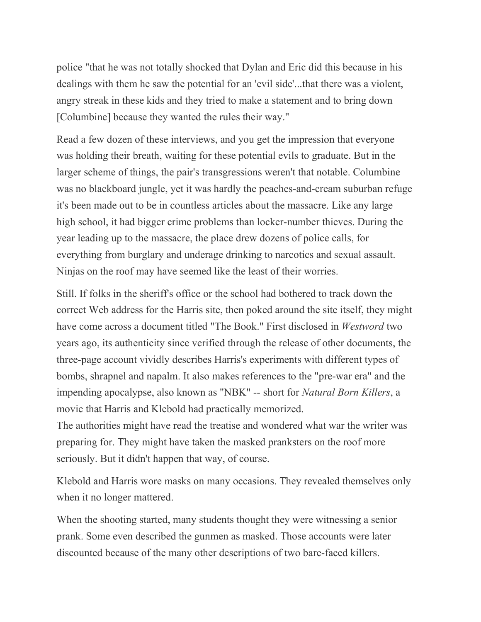police "that he was not totally shocked that Dylan and Eric did this because in his dealings with them he saw the potential for an 'evil side'...that there was a violent, angry streak in these kids and they tried to make a statement and to bring down [Columbine] because they wanted the rules their way."

Read a few dozen of these interviews, and you get the impression that everyone was holding their breath, waiting for these potential evils to graduate. But in the larger scheme of things, the pair's transgressions weren't that notable. Columbine was no blackboard jungle, yet it was hardly the peaches-and-cream suburban refuge it's been made out to be in countless articles about the massacre. Like any large high school, it had bigger crime problems than locker-number thieves. During the year leading up to the massacre, the place drew dozens of police calls, for everything from burglary and underage drinking to narcotics and sexual assault. Ninjas on the roof may have seemed like the least of their worries.

Still. If folks in the sheriff's office or the school had bothered to track down the correct Web address for the Harris site, then poked around the site itself, they might have come across a document titled "The Book." First disclosed in *Westword* two years ago, its authenticity since verified through the release of other documents, the three-page account vividly describes Harris's experiments with different types of bombs, shrapnel and napalm. It also makes references to the "pre-war era" and the impending apocalypse, also known as "NBK" -- short for *Natural Born Killers*, a movie that Harris and Klebold had practically memorized.

The authorities might have read the treatise and wondered what war the writer was preparing for. They might have taken the masked pranksters on the roof more seriously. But it didn't happen that way, of course.

Klebold and Harris wore masks on many occasions. They revealed themselves only when it no longer mattered.

When the shooting started, many students thought they were witnessing a senior prank. Some even described the gunmen as masked. Those accounts were later discounted because of the many other descriptions of two bare-faced killers.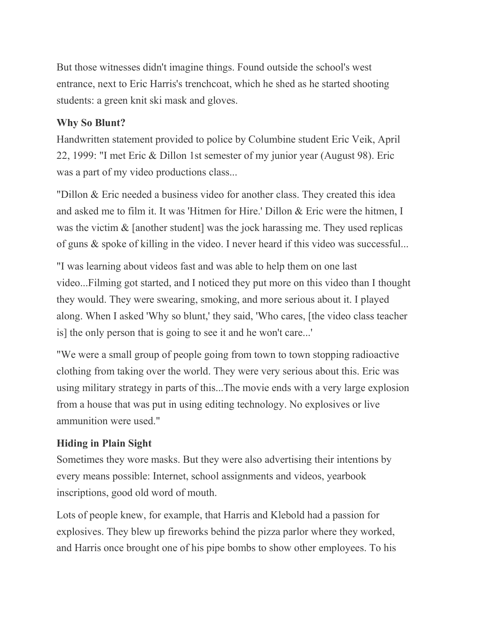But those witnesses didn't imagine things. Found outside the school's west entrance, next to Eric Harris's trenchcoat, which he shed as he started shooting students: a green knit ski mask and gloves.

### **Why So Blunt?**

Handwritten statement provided to police by Columbine student Eric Veik, April 22, 1999: "I met Eric & Dillon 1st semester of my junior year (August 98). Eric was a part of my video productions class...

"Dillon & Eric needed a business video for another class. They created this idea and asked me to film it. It was 'Hitmen for Hire.' Dillon & Eric were the hitmen, I was the victim & [another student] was the jock harassing me. They used replicas of guns & spoke of killing in the video. I never heard if this video was successful...

"I was learning about videos fast and was able to help them on one last video...Filming got started, and I noticed they put more on this video than I thought they would. They were swearing, smoking, and more serious about it. I played along. When I asked 'Why so blunt,' they said, 'Who cares, [the video class teacher is] the only person that is going to see it and he won't care...'

"We were a small group of people going from town to town stopping radioactive clothing from taking over the world. They were very serious about this. Eric was using military strategy in parts of this...The movie ends with a very large explosion from a house that was put in using editing technology. No explosives or live ammunition were used."

# **Hiding in Plain Sight**

Sometimes they wore masks. But they were also advertising their intentions by every means possible: Internet, school assignments and videos, yearbook inscriptions, good old word of mouth.

Lots of people knew, for example, that Harris and Klebold had a passion for explosives. They blew up fireworks behind the pizza parlor where they worked, and Harris once brought one of his pipe bombs to show other employees. To his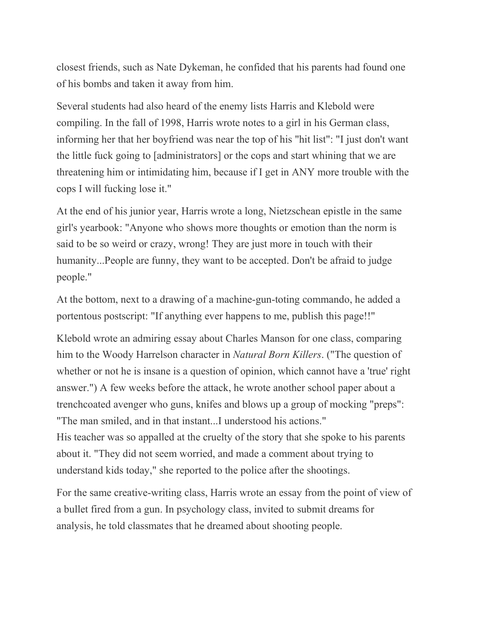closest friends, such as Nate Dykeman, he confided that his parents had found one of his bombs and taken it away from him.

Several students had also heard of the enemy lists Harris and Klebold were compiling. In the fall of 1998, Harris wrote notes to a girl in his German class, informing her that her boyfriend was near the top of his "hit list": "I just don't want the little fuck going to [administrators] or the cops and start whining that we are threatening him or intimidating him, because if I get in ANY more trouble with the cops I will fucking lose it."

At the end of his junior year, Harris wrote a long, Nietzschean epistle in the same girl's yearbook: "Anyone who shows more thoughts or emotion than the norm is said to be so weird or crazy, wrong! They are just more in touch with their humanity...People are funny, they want to be accepted. Don't be afraid to judge people."

At the bottom, next to a drawing of a machine-gun-toting commando, he added a portentous postscript: "If anything ever happens to me, publish this page!!"

Klebold wrote an admiring essay about Charles Manson for one class, comparing him to the Woody Harrelson character in *Natural Born Killers*. ("The question of whether or not he is insane is a question of opinion, which cannot have a 'true' right answer.") A few weeks before the attack, he wrote another school paper about a trenchcoated avenger who guns, knifes and blows up a group of mocking "preps": "The man smiled, and in that instant...I understood his actions." His teacher was so appalled at the cruelty of the story that she spoke to his parents about it. "They did not seem worried, and made a comment about trying to understand kids today," she reported to the police after the shootings.

For the same creative-writing class, Harris wrote an essay from the point of view of a bullet fired from a gun. In psychology class, invited to submit dreams for analysis, he told classmates that he dreamed about shooting people.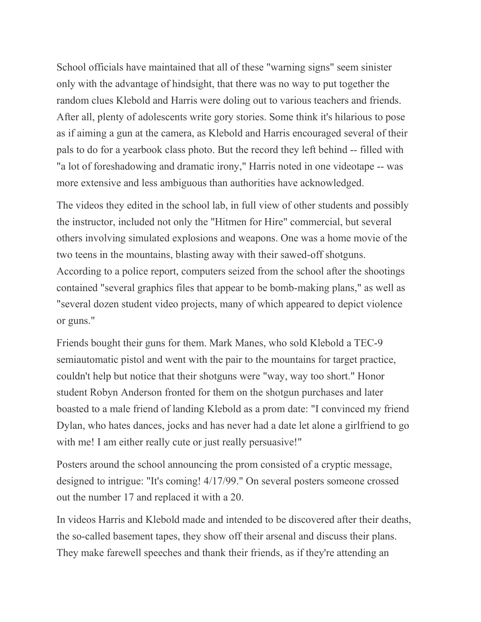School officials have maintained that all of these "warning signs" seem sinister only with the advantage of hindsight, that there was no way to put together the random clues Klebold and Harris were doling out to various teachers and friends. After all, plenty of adolescents write gory stories. Some think it's hilarious to pose as if aiming a gun at the camera, as Klebold and Harris encouraged several of their pals to do for a yearbook class photo. But the record they left behind -- filled with "a lot of foreshadowing and dramatic irony," Harris noted in one videotape -- was more extensive and less ambiguous than authorities have acknowledged.

The videos they edited in the school lab, in full view of other students and possibly the instructor, included not only the "Hitmen for Hire" commercial, but several others involving simulated explosions and weapons. One was a home movie of the two teens in the mountains, blasting away with their sawed-off shotguns. According to a police report, computers seized from the school after the shootings contained "several graphics files that appear to be bomb-making plans," as well as "several dozen student video projects, many of which appeared to depict violence or guns."

Friends bought their guns for them. Mark Manes, who sold Klebold a TEC-9 semiautomatic pistol and went with the pair to the mountains for target practice, couldn't help but notice that their shotguns were "way, way too short." Honor student Robyn Anderson fronted for them on the shotgun purchases and later boasted to a male friend of landing Klebold as a prom date: "I convinced my friend Dylan, who hates dances, jocks and has never had a date let alone a girlfriend to go with me! I am either really cute or just really persuasive!"

Posters around the school announcing the prom consisted of a cryptic message, designed to intrigue: "It's coming! 4/17/99." On several posters someone crossed out the number 17 and replaced it with a 20.

In videos Harris and Klebold made and intended to be discovered after their deaths, the so-called basement tapes, they show off their arsenal and discuss their plans. They make farewell speeches and thank their friends, as if they're attending an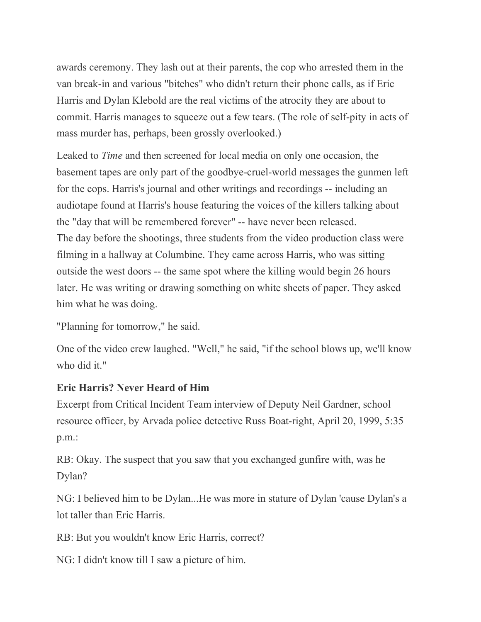awards ceremony. They lash out at their parents, the cop who arrested them in the van break-in and various "bitches" who didn't return their phone calls, as if Eric Harris and Dylan Klebold are the real victims of the atrocity they are about to commit. Harris manages to squeeze out a few tears. (The role of self-pity in acts of mass murder has, perhaps, been grossly overlooked.)

Leaked to *Time* and then screened for local media on only one occasion, the basement tapes are only part of the goodbye-cruel-world messages the gunmen left for the cops. Harris's journal and other writings and recordings -- including an audiotape found at Harris's house featuring the voices of the killers talking about the "day that will be remembered forever" -- have never been released. The day before the shootings, three students from the video production class were filming in a hallway at Columbine. They came across Harris, who was sitting outside the west doors -- the same spot where the killing would begin 26 hours later. He was writing or drawing something on white sheets of paper. They asked him what he was doing.

"Planning for tomorrow," he said.

One of the video crew laughed. "Well," he said, "if the school blows up, we'll know who did it."

### **Eric Harris? Never Heard of Him**

Excerpt from Critical Incident Team interview of Deputy Neil Gardner, school resource officer, by Arvada police detective Russ Boat-right, April 20, 1999, 5:35 p.m.:

RB: Okay. The suspect that you saw that you exchanged gunfire with, was he Dylan?

NG: I believed him to be Dylan...He was more in stature of Dylan 'cause Dylan's a lot taller than Eric Harris.

RB: But you wouldn't know Eric Harris, correct?

NG: I didn't know till I saw a picture of him.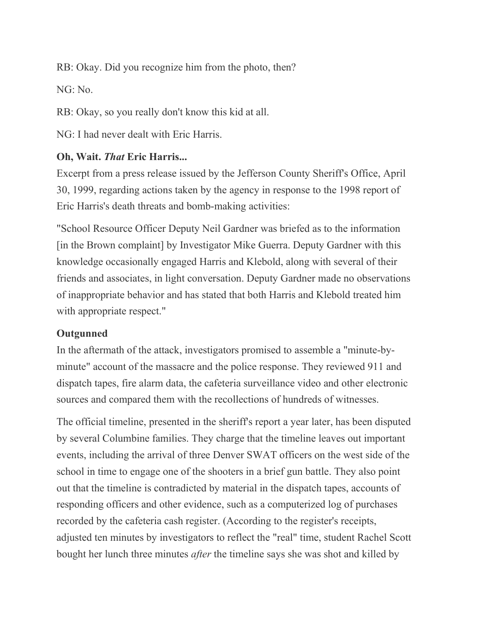RB: Okay. Did you recognize him from the photo, then?

NG: No.

RB: Okay, so you really don't know this kid at all.

NG: I had never dealt with Eric Harris.

## **Oh, Wait.** *That* **Eric Harris...**

Excerpt from a press release issued by the Jefferson County Sheriff's Office, April 30, 1999, regarding actions taken by the agency in response to the 1998 report of Eric Harris's death threats and bomb-making activities:

"School Resource Officer Deputy Neil Gardner was briefed as to the information [in the Brown complaint] by Investigator Mike Guerra. Deputy Gardner with this knowledge occasionally engaged Harris and Klebold, along with several of their friends and associates, in light conversation. Deputy Gardner made no observations of inappropriate behavior and has stated that both Harris and Klebold treated him with appropriate respect."

### **Outgunned**

In the aftermath of the attack, investigators promised to assemble a "minute-byminute" account of the massacre and the police response. They reviewed 911 and dispatch tapes, fire alarm data, the cafeteria surveillance video and other electronic sources and compared them with the recollections of hundreds of witnesses.

The official timeline, presented in the sheriff's report a year later, has been disputed by several Columbine families. They charge that the timeline leaves out important events, including the arrival of three Denver SWAT officers on the west side of the school in time to engage one of the shooters in a brief gun battle. They also point out that the timeline is contradicted by material in the dispatch tapes, accounts of responding officers and other evidence, such as a computerized log of purchases recorded by the cafeteria cash register. (According to the register's receipts, adjusted ten minutes by investigators to reflect the "real" time, student Rachel Scott bought her lunch three minutes *after* the timeline says she was shot and killed by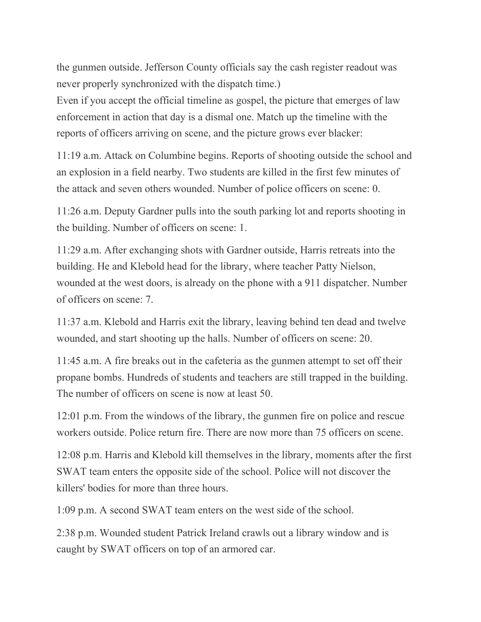the gunmen outside. Jefferson County officials say the cash register readout was never properly synchronized with the dispatch time.)

Even if you accept the official timeline as gospel, the picture that emerges of law enforcement in action that day is a dismal one. Match up the timeline with the reports of officers arriving on scene, and the picture grows ever blacker:

11:19 a.m. Attack on Columbine begins. Reports of shooting outside the school and an explosion in a field nearby. Two students are killed in the first few minutes of the attack and seven others wounded. Number of police officers on scene: 0.

11:26 a.m. Deputy Gardner pulls into the south parking lot and reports shooting in the building. Number of officers on scene: 1.

11:29 a.m. After exchanging shots with Gardner outside, Harris retreats into the building. He and Klebold head for the library, where teacher Patty Nielson, wounded at the west doors, is already on the phone with a 911 dispatcher. Number of officers on scene: 7.

11:37 a.m. Klebold and Harris exit the library, leaving behind ten dead and twelve wounded, and start shooting up the halls. Number of officers on scene: 20.

11:45 a.m. A fire breaks out in the cafeteria as the gunmen attempt to set off their propane bombs. Hundreds of students and teachers are still trapped in the building. The number of officers on scene is now at least 50.

12:01 p.m. From the windows of the library, the gunmen fire on police and rescue workers outside. Police return fire. There are now more than 75 officers on scene.

12:08 p.m. Harris and Klebold kill themselves in the library, moments after the first SWAT team enters the opposite side of the school. Police will not discover the killers' bodies for more than three hours.

1:09 p.m. A second SWAT team enters on the west side of the school.

2:38 p.m. Wounded student Patrick Ireland crawls out a library window and is caught by SWAT officers on top of an armored car.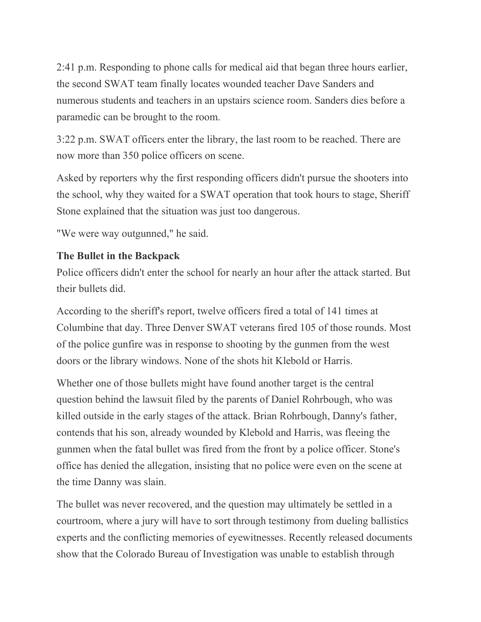2:41 p.m. Responding to phone calls for medical aid that began three hours earlier, the second SWAT team finally locates wounded teacher Dave Sanders and numerous students and teachers in an upstairs science room. Sanders dies before a paramedic can be brought to the room.

3:22 p.m. SWAT officers enter the library, the last room to be reached. There are now more than 350 police officers on scene.

Asked by reporters why the first responding officers didn't pursue the shooters into the school, why they waited for a SWAT operation that took hours to stage, Sheriff Stone explained that the situation was just too dangerous.

"We were way outgunned," he said.

# **The Bullet in the Backpack**

Police officers didn't enter the school for nearly an hour after the attack started. But their bullets did.

According to the sheriff's report, twelve officers fired a total of 141 times at Columbine that day. Three Denver SWAT veterans fired 105 of those rounds. Most of the police gunfire was in response to shooting by the gunmen from the west doors or the library windows. None of the shots hit Klebold or Harris.

Whether one of those bullets might have found another target is the central question behind the lawsuit filed by the parents of Daniel Rohrbough, who was killed outside in the early stages of the attack. Brian Rohrbough, Danny's father, contends that his son, already wounded by Klebold and Harris, was fleeing the gunmen when the fatal bullet was fired from the front by a police officer. Stone's office has denied the allegation, insisting that no police were even on the scene at the time Danny was slain.

The bullet was never recovered, and the question may ultimately be settled in a courtroom, where a jury will have to sort through testimony from dueling ballistics experts and the conflicting memories of eyewitnesses. Recently released documents show that the Colorado Bureau of Investigation was unable to establish through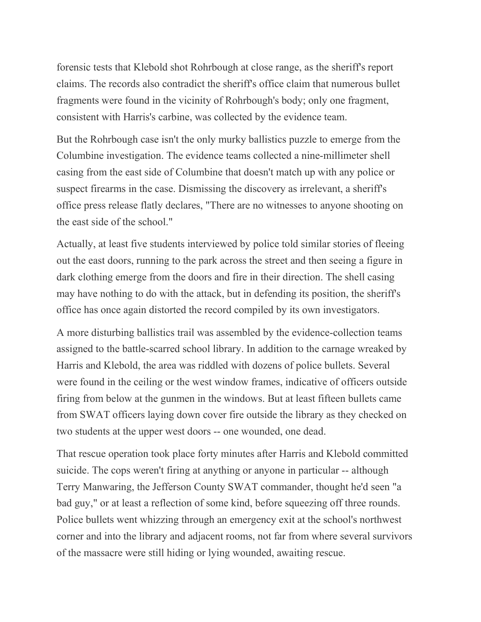forensic tests that Klebold shot Rohrbough at close range, as the sheriff's report claims. The records also contradict the sheriff's office claim that numerous bullet fragments were found in the vicinity of Rohrbough's body; only one fragment, consistent with Harris's carbine, was collected by the evidence team.

But the Rohrbough case isn't the only murky ballistics puzzle to emerge from the Columbine investigation. The evidence teams collected a nine-millimeter shell casing from the east side of Columbine that doesn't match up with any police or suspect firearms in the case. Dismissing the discovery as irrelevant, a sheriff's office press release flatly declares, "There are no witnesses to anyone shooting on the east side of the school."

Actually, at least five students interviewed by police told similar stories of fleeing out the east doors, running to the park across the street and then seeing a figure in dark clothing emerge from the doors and fire in their direction. The shell casing may have nothing to do with the attack, but in defending its position, the sheriff's office has once again distorted the record compiled by its own investigators.

A more disturbing ballistics trail was assembled by the evidence-collection teams assigned to the battle-scarred school library. In addition to the carnage wreaked by Harris and Klebold, the area was riddled with dozens of police bullets. Several were found in the ceiling or the west window frames, indicative of officers outside firing from below at the gunmen in the windows. But at least fifteen bullets came from SWAT officers laying down cover fire outside the library as they checked on two students at the upper west doors -- one wounded, one dead.

That rescue operation took place forty minutes after Harris and Klebold committed suicide. The cops weren't firing at anything or anyone in particular -- although Terry Manwaring, the Jefferson County SWAT commander, thought he'd seen "a bad guy," or at least a reflection of some kind, before squeezing off three rounds. Police bullets went whizzing through an emergency exit at the school's northwest corner and into the library and adjacent rooms, not far from where several survivors of the massacre were still hiding or lying wounded, awaiting rescue.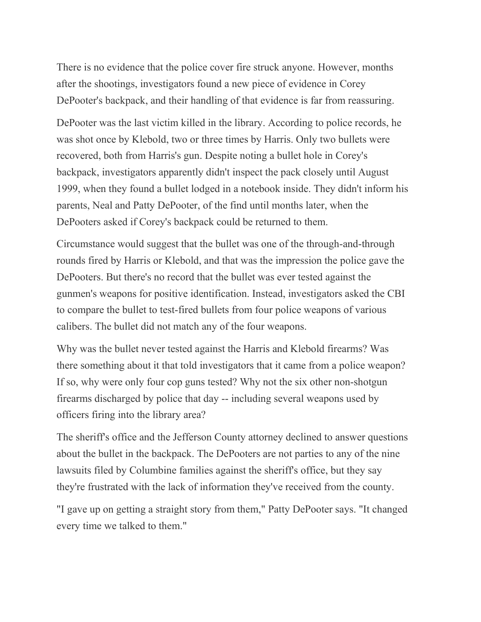There is no evidence that the police cover fire struck anyone. However, months after the shootings, investigators found a new piece of evidence in Corey DePooter's backpack, and their handling of that evidence is far from reassuring.

DePooter was the last victim killed in the library. According to police records, he was shot once by Klebold, two or three times by Harris. Only two bullets were recovered, both from Harris's gun. Despite noting a bullet hole in Corey's backpack, investigators apparently didn't inspect the pack closely until August 1999, when they found a bullet lodged in a notebook inside. They didn't inform his parents, Neal and Patty DePooter, of the find until months later, when the DePooters asked if Corey's backpack could be returned to them.

Circumstance would suggest that the bullet was one of the through-and-through rounds fired by Harris or Klebold, and that was the impression the police gave the DePooters. But there's no record that the bullet was ever tested against the gunmen's weapons for positive identification. Instead, investigators asked the CBI to compare the bullet to test-fired bullets from four police weapons of various calibers. The bullet did not match any of the four weapons.

Why was the bullet never tested against the Harris and Klebold firearms? Was there something about it that told investigators that it came from a police weapon? If so, why were only four cop guns tested? Why not the six other non-shotgun firearms discharged by police that day -- including several weapons used by officers firing into the library area?

The sheriff's office and the Jefferson County attorney declined to answer questions about the bullet in the backpack. The DePooters are not parties to any of the nine lawsuits filed by Columbine families against the sheriff's office, but they say they're frustrated with the lack of information they've received from the county.

"I gave up on getting a straight story from them," Patty DePooter says. "It changed every time we talked to them."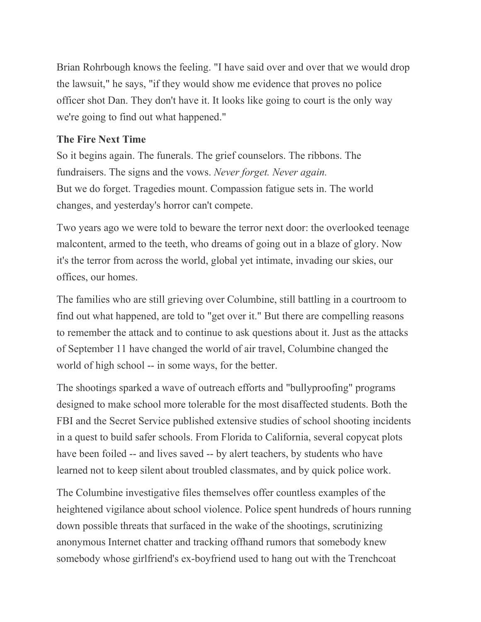Brian Rohrbough knows the feeling. "I have said over and over that we would drop the lawsuit," he says, "if they would show me evidence that proves no police officer shot Dan. They don't have it. It looks like going to court is the only way we're going to find out what happened."

### **The Fire Next Time**

So it begins again. The funerals. The grief counselors. The ribbons. The fundraisers. The signs and the vows. *Never forget. Never again.* But we do forget. Tragedies mount. Compassion fatigue sets in. The world changes, and yesterday's horror can't compete.

Two years ago we were told to beware the terror next door: the overlooked teenage malcontent, armed to the teeth, who dreams of going out in a blaze of glory. Now it's the terror from across the world, global yet intimate, invading our skies, our offices, our homes.

The families who are still grieving over Columbine, still battling in a courtroom to find out what happened, are told to "get over it." But there are compelling reasons to remember the attack and to continue to ask questions about it. Just as the attacks of September 11 have changed the world of air travel, Columbine changed the world of high school -- in some ways, for the better.

The shootings sparked a wave of outreach efforts and "bullyproofing" programs designed to make school more tolerable for the most disaffected students. Both the FBI and the Secret Service published extensive studies of school shooting incidents in a quest to build safer schools. From Florida to California, several copycat plots have been foiled -- and lives saved -- by alert teachers, by students who have learned not to keep silent about troubled classmates, and by quick police work.

The Columbine investigative files themselves offer countless examples of the heightened vigilance about school violence. Police spent hundreds of hours running down possible threats that surfaced in the wake of the shootings, scrutinizing anonymous Internet chatter and tracking offhand rumors that somebody knew somebody whose girlfriend's ex-boyfriend used to hang out with the Trenchcoat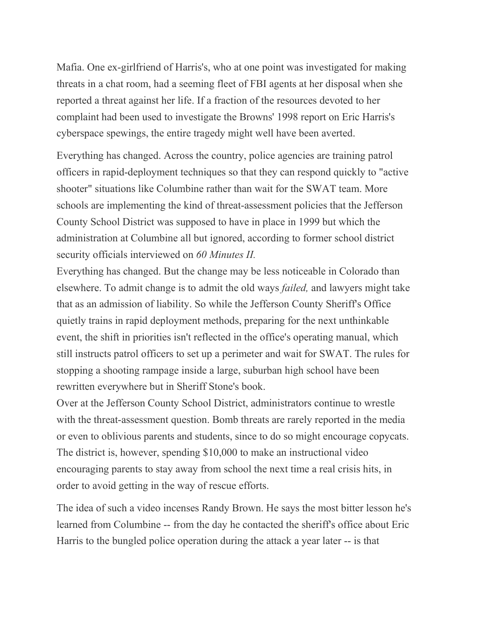Mafia. One ex-girlfriend of Harris's, who at one point was investigated for making threats in a chat room, had a seeming fleet of FBI agents at her disposal when she reported a threat against her life. If a fraction of the resources devoted to her complaint had been used to investigate the Browns' 1998 report on Eric Harris's cyberspace spewings, the entire tragedy might well have been averted.

Everything has changed. Across the country, police agencies are training patrol officers in rapid-deployment techniques so that they can respond quickly to "active shooter" situations like Columbine rather than wait for the SWAT team. More schools are implementing the kind of threat-assessment policies that the Jefferson County School District was supposed to have in place in 1999 but which the administration at Columbine all but ignored, according to former school district security officials interviewed on *60 Minutes II.*

Everything has changed. But the change may be less noticeable in Colorado than elsewhere. To admit change is to admit the old ways *failed,* and lawyers might take that as an admission of liability. So while the Jefferson County Sheriff's Office quietly trains in rapid deployment methods, preparing for the next unthinkable event, the shift in priorities isn't reflected in the office's operating manual, which still instructs patrol officers to set up a perimeter and wait for SWAT. The rules for stopping a shooting rampage inside a large, suburban high school have been rewritten everywhere but in Sheriff Stone's book.

Over at the Jefferson County School District, administrators continue to wrestle with the threat-assessment question. Bomb threats are rarely reported in the media or even to oblivious parents and students, since to do so might encourage copycats. The district is, however, spending \$10,000 to make an instructional video encouraging parents to stay away from school the next time a real crisis hits, in order to avoid getting in the way of rescue efforts.

The idea of such a video incenses Randy Brown. He says the most bitter lesson he's learned from Columbine -- from the day he contacted the sheriff's office about Eric Harris to the bungled police operation during the attack a year later -- is that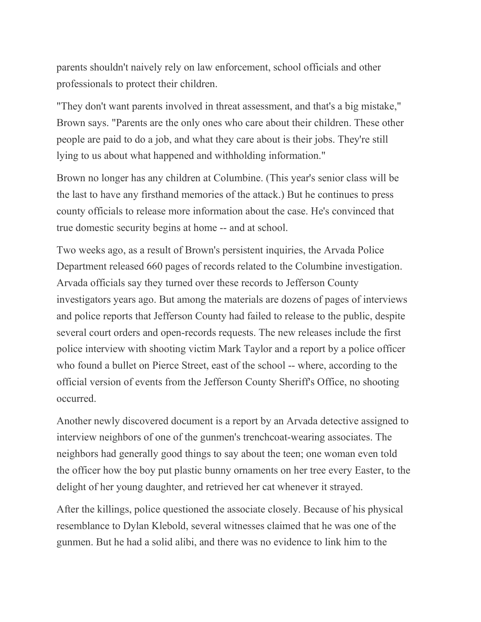parents shouldn't naively rely on law enforcement, school officials and other professionals to protect their children.

"They don't want parents involved in threat assessment, and that's a big mistake," Brown says. "Parents are the only ones who care about their children. These other people are paid to do a job, and what they care about is their jobs. They're still lying to us about what happened and withholding information."

Brown no longer has any children at Columbine. (This year's senior class will be the last to have any firsthand memories of the attack.) But he continues to press county officials to release more information about the case. He's convinced that true domestic security begins at home -- and at school.

Two weeks ago, as a result of Brown's persistent inquiries, the Arvada Police Department released 660 pages of records related to the Columbine investigation. Arvada officials say they turned over these records to Jefferson County investigators years ago. But among the materials are dozens of pages of interviews and police reports that Jefferson County had failed to release to the public, despite several court orders and open-records requests. The new releases include the first police interview with shooting victim Mark Taylor and a report by a police officer who found a bullet on Pierce Street, east of the school -- where, according to the official version of events from the Jefferson County Sheriff's Office, no shooting occurred.

Another newly discovered document is a report by an Arvada detective assigned to interview neighbors of one of the gunmen's trenchcoat-wearing associates. The neighbors had generally good things to say about the teen; one woman even told the officer how the boy put plastic bunny ornaments on her tree every Easter, to the delight of her young daughter, and retrieved her cat whenever it strayed.

After the killings, police questioned the associate closely. Because of his physical resemblance to Dylan Klebold, several witnesses claimed that he was one of the gunmen. But he had a solid alibi, and there was no evidence to link him to the